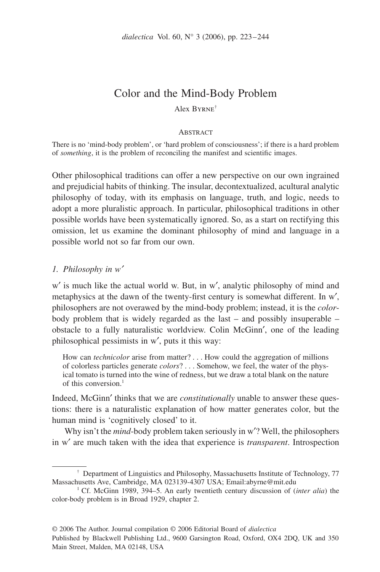# Color and the Mind-Body Problem

#### Alex Byrne†

#### **ABSTRACT**

There is no 'mind-body problem', or 'hard problem of consciousness'; if there is a hard problem of *something*, it is the problem of reconciling the manifest and scientific images.

Other philosophical traditions can offer a new perspective on our own ingrained and prejudicial habits of thinking. The insular, decontextualized, acultural analytic philosophy of today, with its emphasis on language, truth, and logic, needs to adopt a more pluralistic approach. In particular, philosophical traditions in other possible worlds have been systematically ignored. So, as a start on rectifying this omission, let us examine the dominant philosophy of mind and language in a possible world not so far from our own.

#### *1. Philosophy in w*′

w′ is much like the actual world w. But, in w′, analytic philosophy of mind and metaphysics at the dawn of the twenty-first century is somewhat different. In w′, philosophers are not overawed by the mind-body problem; instead, it is the *color*body problem that is widely regarded as the last – and possibly insuperable – obstacle to a fully naturalistic worldview. Colin McGinn′, one of the leading philosophical pessimists in w′, puts it this way:

How can *technicolor* arise from matter? . . . How could the aggregation of millions of colorless particles generate *colors*? . . . Somehow, we feel, the water of the physical tomato is turned into the wine of redness, but we draw a total blank on the nature of this conversion. $<sup>1</sup>$ </sup>

Indeed, McGinn′ thinks that we are *constitutionally* unable to answer these questions: there is a naturalistic explanation of how matter generates color, but the human mind is 'cognitively closed' to it.

Why isn't the *mind*-body problem taken seriously in w'? Well, the philosophers in w′ are much taken with the idea that experience is *transparent*. Introspection

<sup>†</sup> Department of Linguistics and Philosophy, Massachusetts Institute of Technology, 77 Massachusetts Ave, Cambridge, MA 023139-4307 USA; Email:abyrne@mit.edu

<sup>1</sup> Cf. McGinn 1989, 394–5. An early twentieth century discussion of (*inter alia*) the color-body problem is in Broad 1929, chapter 2.

<sup>© 2006</sup> The Author. Journal compilation © 2006 Editorial Board of *dialectica*

Published by Blackwell Publishing Ltd., 9600 Garsington Road, Oxford, OX4 2DQ, UK and 350 Main Street, Malden, MA 02148, USA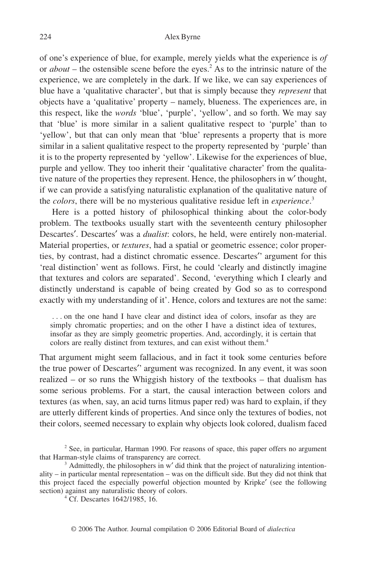of one's experience of blue, for example, merely yields what the experience is *of* or  $about$  – the ostensible scene before the eyes.<sup>2</sup> As to the intrinsic nature of the experience, we are completely in the dark. If we like, we can say experiences of blue have a 'qualitative character', but that is simply because they *represent* that objects have a 'qualitative' property – namely, blueness. The experiences are, in this respect, like the *words* 'blue', 'purple', 'yellow', and so forth. We may say that 'blue' is more similar in a salient qualitative respect to 'purple' than to 'yellow', but that can only mean that 'blue' represents a property that is more similar in a salient qualitative respect to the property represented by 'purple' than it is to the property represented by 'yellow'. Likewise for the experiences of blue, purple and yellow. They too inherit their 'qualitative character' from the qualitative nature of the properties they represent. Hence, the philosophers in w′ thought, if we can provide a satisfying naturalistic explanation of the qualitative nature of the *colors*, there will be no mysterious qualitative residue left in *experience*. 3

Here is a potted history of philosophical thinking about the color-body problem. The textbooks usually start with the seventeenth century philosopher Descartes′. Descartes′ was a *dualist*: colors, he held, were entirely non-material. Material properties, or *textures*, had a spatial or geometric essence; color properties, by contrast, had a distinct chromatic essence. Descartes′' argument for this 'real distinction' went as follows. First, he could 'clearly and distinctly imagine that textures and colors are separated'. Second, 'everything which I clearly and distinctly understand is capable of being created by God so as to correspond exactly with my understanding of it'. Hence, colors and textures are not the same:

 . . . on the one hand I have clear and distinct idea of colors, insofar as they are simply chromatic properties; and on the other I have a distinct idea of textures, insofar as they are simply geometric properties. And, accordingly, it is certain that colors are really distinct from textures, and can exist without them.4

That argument might seem fallacious, and in fact it took some centuries before the true power of Descartes′' argument was recognized. In any event, it was soon realized – or so runs the Whiggish history of the textbooks – that dualism has some serious problems. For a start, the causal interaction between colors and textures (as when, say, an acid turns litmus paper red) was hard to explain, if they are utterly different kinds of properties. And since only the textures of bodies, not their colors, seemed necessary to explain why objects look colored, dualism faced

<sup>2</sup> See, in particular, Harman 1990. For reasons of space, this paper offers no argument that Harman-style claims of transparency are correct.

<sup>&</sup>lt;sup>3</sup> Admittedly, the philosophers in w' did think that the project of naturalizing intentionality – in particular mental representation – was on the difficult side. But they did not think that this project faced the especially powerful objection mounted by Kripke′ (see the following section) against any naturalistic theory of colors.

<sup>4</sup> Cf. Descartes 1642/1985, 16.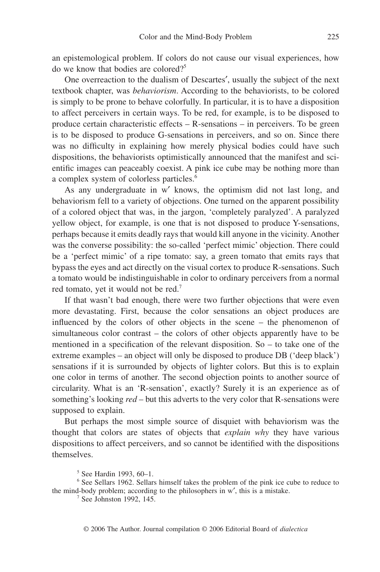an epistemological problem. If colors do not cause our visual experiences, how do we know that bodies are colored?<sup>5</sup>

One overreaction to the dualism of Descartes′, usually the subject of the next textbook chapter, was *behaviorism*. According to the behaviorists, to be colored is simply to be prone to behave colorfully. In particular, it is to have a disposition to affect perceivers in certain ways. To be red, for example, is to be disposed to produce certain characteristic effects – R-sensations – in perceivers. To be green is to be disposed to produce G-sensations in perceivers, and so on. Since there was no difficulty in explaining how merely physical bodies could have such dispositions, the behaviorists optimistically announced that the manifest and scientific images can peaceably coexist. A pink ice cube may be nothing more than a complex system of colorless particles.<sup>6</sup>

As any undergraduate in w′ knows, the optimism did not last long, and behaviorism fell to a variety of objections. One turned on the apparent possibility of a colored object that was, in the jargon, 'completely paralyzed'. A paralyzed yellow object, for example, is one that is not disposed to produce Y-sensations, perhaps because it emits deadly rays that would kill anyone in the vicinity. Another was the converse possibility: the so-called 'perfect mimic' objection. There could be a 'perfect mimic' of a ripe tomato: say, a green tomato that emits rays that bypass the eyes and act directly on the visual cortex to produce R-sensations. Such a tomato would be indistinguishable in color to ordinary perceivers from a normal red tomato, yet it would not be red.<sup>7</sup>

If that wasn't bad enough, there were two further objections that were even more devastating. First, because the color sensations an object produces are influenced by the colors of other objects in the scene – the phenomenon of simultaneous color contrast – the colors of other objects apparently have to be mentioned in a specification of the relevant disposition. So – to take one of the extreme examples – an object will only be disposed to produce DB ('deep black') sensations if it is surrounded by objects of lighter colors. But this is to explain one color in terms of another. The second objection points to another source of circularity. What is an 'R-sensation', exactly? Surely it is an experience as of something's looking *red* – but this adverts to the very color that R-sensations were supposed to explain.

But perhaps the most simple source of disquiet with behaviorism was the thought that colors are states of objects that *explain why* they have various dispositions to affect perceivers, and so cannot be identified with the dispositions themselves.

<sup>6</sup> See Sellars 1962. Sellars himself takes the problem of the pink ice cube to reduce to the mind-body problem; according to the philosophers in w′, this is a mistake.

<sup>7</sup> See Johnston 1992, 145.

<sup>5</sup> See Hardin 1993, 60–1.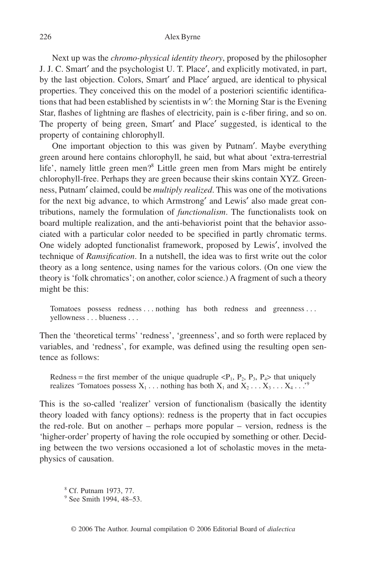Next up was the *chromo-physical identity theory*, proposed by the philosopher J. J. C. Smart′ and the psychologist U. T. Place′, and explicitly motivated, in part, by the last objection. Colors, Smart′ and Place′ argued, are identical to physical properties. They conceived this on the model of a posteriori scientific identifications that had been established by scientists in w′: the Morning Star is the Evening Star, flashes of lightning are flashes of electricity, pain is c-fiber firing, and so on. The property of being green, Smart′ and Place′ suggested, is identical to the property of containing chlorophyll.

One important objection to this was given by Putnam′. Maybe everything green around here contains chlorophyll, he said, but what about 'extra-terrestrial life', namely little green men?8 Little green men from Mars might be entirely chlorophyll-free. Perhaps they are green because their skins contain XYZ. Greenness, Putnam′ claimed, could be *multiply realized*. This was one of the motivations for the next big advance, to which Armstrong′ and Lewis′ also made great contributions, namely the formulation of *functionalism*. The functionalists took on board multiple realization, and the anti-behaviorist point that the behavior associated with a particular color needed to be specified in partly chromatic terms. One widely adopted functionalist framework, proposed by Lewis′, involved the technique of *Ramsification*. In a nutshell, the idea was to first write out the color theory as a long sentence, using names for the various colors. (On one view the theory is 'folk chromatics'; on another, color science.) A fragment of such a theory might be this:

Tomatoes possess redness . . . nothing has both redness and greenness . . . yellowness . . . blueness . . .

Then the 'theoretical terms' 'redness', 'greenness', and so forth were replaced by variables, and 'redness', for example, was defined using the resulting open sentence as follows:

Redness = the first member of the unique quadruple  $\langle P_1, P_2, P_3, P_4 \rangle$  that uniquely realizes 'Tomatoes possess  $X_1 \dots$  nothing has both  $X_1$  and  $X_2 \dots X_3 \dots X_4 \dots$ <sup>9</sup>

This is the so-called 'realizer' version of functionalism (basically the identity theory loaded with fancy options): redness is the property that in fact occupies the red-role. But on another – perhaps more popular – version, redness is the 'higher-order' property of having the role occupied by something or other. Deciding between the two versions occasioned a lot of scholastic moves in the metaphysics of causation.

<sup>8</sup> Cf. Putnam 1973, 77.

<sup>9</sup> See Smith 1994, 48–53.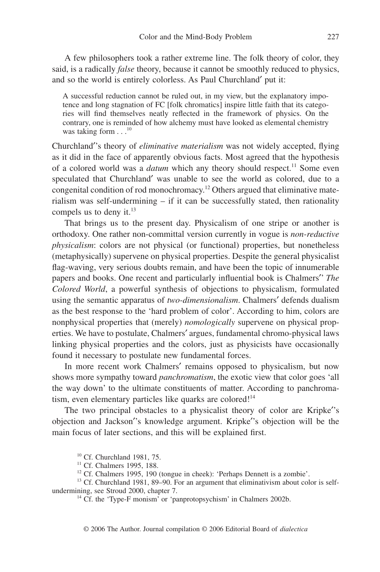A few philosophers took a rather extreme line. The folk theory of color, they said, is a radically *false* theory, because it cannot be smoothly reduced to physics, and so the world is entirely colorless. As Paul Churchland′ put it:

A successful reduction cannot be ruled out, in my view, but the explanatory impotence and long stagnation of FC [folk chromatics] inspire little faith that its categories will find themselves neatly reflected in the framework of physics. On the contrary, one is reminded of how alchemy must have looked as elemental chemistry was taking form . . .<sup>10</sup>

Churchland′'s theory of *eliminative materialism* was not widely accepted, flying as it did in the face of apparently obvious facts. Most agreed that the hypothesis of a colored world was a *datum* which any theory should respect.<sup>11</sup> Some even speculated that Churchland′ was unable to see the world as colored, due to a congenital condition of rod monochromacy.<sup>12</sup> Others argued that eliminative materialism was self-undermining – if it can be successfully stated, then rationality compels us to deny it. $^{13}$ 

That brings us to the present day. Physicalism of one stripe or another is orthodoxy. One rather non-committal version currently in vogue is *non-reductive physicalism*: colors are not physical (or functional) properties, but nonetheless (metaphysically) supervene on physical properties. Despite the general physicalist flag-waving, very serious doubts remain, and have been the topic of innumerable papers and books. One recent and particularly influential book is Chalmers′' *The Colored World*, a powerful synthesis of objections to physicalism, formulated using the semantic apparatus of *two-dimensionalism*. Chalmers′ defends dualism as the best response to the 'hard problem of color'. According to him, colors are nonphysical properties that (merely) *nomologically* supervene on physical properties. We have to postulate, Chalmers′ argues, fundamental chromo-physical laws linking physical properties and the colors, just as physicists have occasionally found it necessary to postulate new fundamental forces.

In more recent work Chalmers′ remains opposed to physicalism, but now shows more sympathy toward *panchromatism*, the exotic view that color goes 'all the way down' to the ultimate constituents of matter. According to panchromatism, even elementary particles like quarks are colored!<sup>14</sup>

The two principal obstacles to a physicalist theory of color are Kripke′'s objection and Jackson′'s knowledge argument. Kripke′'s objection will be the main focus of later sections, and this will be explained first.

<sup>10</sup> Cf. Churchland 1981, 75.

<sup>13</sup> Cf. Churchland 1981, 89–90. For an argument that eliminativism about color is selfundermining, see Stroud 2000, chapter 7.

 $14$  Cf. the 'Type-F monism' or 'panprotopsychism' in Chalmers 2002b.

<sup>&</sup>lt;sup>11</sup> Cf. Chalmers 1995, 188.

<sup>&</sup>lt;sup>12</sup> Cf. Chalmers 1995, 190 (tongue in cheek): 'Perhaps Dennett is a zombie'.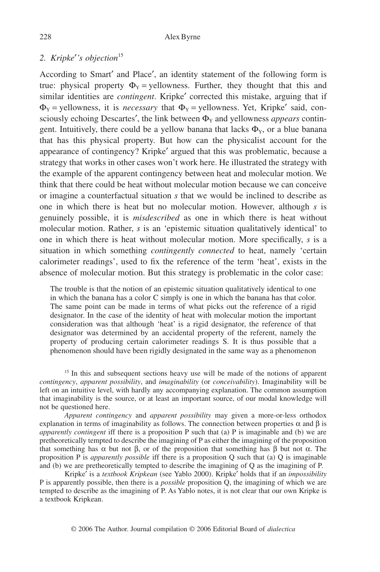# *2. Kripke*′*'s objection*<sup>15</sup>

According to Smart′ and Place′, an identity statement of the following form is true: physical property  $\Phi_y$  = yellowness. Further, they thought that this and similar identities are *contingent*. Kripke′ corrected this mistake, arguing that if  $\Phi_y$  = yellowness, it is *necessary* that  $\Phi_y$  = yellowness. Yet, Kripke' said, consciously echoing Descartes', the link between  $\Phi_Y$  and yellowness *appears* contingent. Intuitively, there could be a yellow banana that lacks  $\Phi_{Y}$ , or a blue banana that has this physical property. But how can the physicalist account for the appearance of contingency? Kripke′ argued that this was problematic, because a strategy that works in other cases won't work here. He illustrated the strategy with the example of the apparent contingency between heat and molecular motion. We think that there could be heat without molecular motion because we can conceive or imagine a counterfactual situation *s* that we would be inclined to describe as one in which there is heat but no molecular motion. However, although *s* is genuinely possible, it is *misdescribed* as one in which there is heat without molecular motion. Rather, *s* is an 'epistemic situation qualitatively identical' to one in which there is heat without molecular motion. More specifically, *s* is a situation in which something *contingently connected* to heat, namely 'certain calorimeter readings', used to fix the reference of the term 'heat', exists in the absence of molecular motion. But this strategy is problematic in the color case:

The trouble is that the notion of an epistemic situation qualitatively identical to one in which the banana has a color C simply is one in which the banana has that color. The same point can be made in terms of what picks out the reference of a rigid designator. In the case of the identity of heat with molecular motion the important consideration was that although 'heat' is a rigid designator, the reference of that designator was determined by an accidental property of the referent, namely the property of producing certain calorimeter readings S. It is thus possible that a phenomenon should have been rigidly designated in the same way as a phenomenon

<sup>15</sup> In this and subsequent sections heavy use will be made of the notions of apparent *contingency*, *apparent possibility*, and *imaginability* (or *conceivability*). Imaginability will be left on an intuitive level, with hardly any accompanying explanation. The common assumption that imaginability is the source, or at least an important source, of our modal knowledge will not be questioned here.

*Apparent contingency* and *apparent possibility* may given a more-or-less orthodox explanation in terms of imaginability as follows. The connection between properties  $\alpha$  and  $\beta$  is *apparently contingent* iff there is a proposition P such that (a) P is imaginable and (b) we are pretheoretically tempted to describe the imagining of P as either the imagining of the proposition that something has α but not β, or of the proposition that something has β but not α. The proposition P is *apparently possible* iff there is a proposition Q such that (a) Q is imaginable and (b) we are pretheoretically tempted to describe the imagining of Q as the imagining of P.

Kripke′ is a *textbook Kripkean* (see Yablo 2000). Kripke′ holds that if an *impossibility* P is apparently possible, then there is a *possible* proposition Q, the imagining of which we are tempted to describe as the imagining of P. As Yablo notes, it is not clear that our own Kripke is a textbook Kripkean.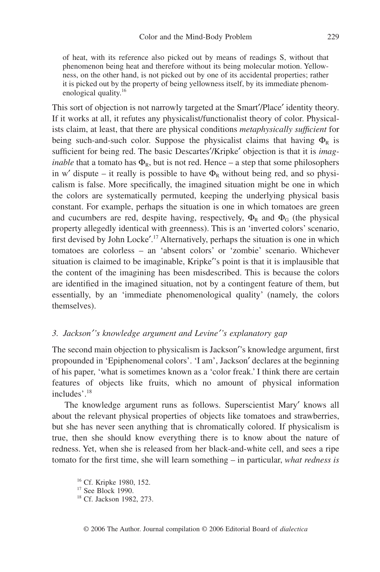of heat, with its reference also picked out by means of readings S, without that phenomenon being heat and therefore without its being molecular motion. Yellowness, on the other hand, is not picked out by one of its accidental properties; rather it is picked out by the property of being yellowness itself, by its immediate phenomenological quality.<sup>16</sup>

This sort of objection is not narrowly targeted at the Smart′/Place′ identity theory. If it works at all, it refutes any physicalist/functionalist theory of color. Physicalists claim, at least, that there are physical conditions *metaphysically sufficient* for being such-and-such color. Suppose the physicalist claims that having  $\Phi_R$  is sufficient for being red. The basic Descartes′/Kripke′ objection is that it is *imaginable* that a tomato has  $\Phi_{\rm R}$ , but is not red. Hence – a step that some philosophers in w' dispute – it really is possible to have  $\Phi_R$  without being red, and so physicalism is false. More specifically, the imagined situation might be one in which the colors are systematically permuted, keeping the underlying physical basis constant. For example, perhaps the situation is one in which tomatoes are green and cucumbers are red, despite having, respectively,  $\Phi_R$  and  $\Phi_G$  (the physical property allegedly identical with greenness). This is an 'inverted colors' scenario, first devised by John Locke'.<sup>17</sup> Alternatively, perhaps the situation is one in which tomatoes are colorless – an 'absent colors' or 'zombie' scenario. Whichever situation is claimed to be imaginable, Kripke′'s point is that it is implausible that the content of the imagining has been misdescribed. This is because the colors are identified in the imagined situation, not by a contingent feature of them, but essentially, by an 'immediate phenomenological quality' (namely, the colors themselves).

## *3. Jackson*′*'s knowledge argument and Levine*′*'s explanatory gap*

The second main objection to physicalism is Jackson′'s knowledge argument, first propounded in 'Epiphenomenal colors'. 'I am', Jackson′ declares at the beginning of his paper, 'what is sometimes known as a 'color freak.' I think there are certain features of objects like fruits, which no amount of physical information includes'.18

The knowledge argument runs as follows. Superscientist Mary′ knows all about the relevant physical properties of objects like tomatoes and strawberries, but she has never seen anything that is chromatically colored. If physicalism is true, then she should know everything there is to know about the nature of redness. Yet, when she is released from her black-and-white cell, and sees a ripe tomato for the first time, she will learn something – in particular, *what redness is*

<sup>16</sup> Cf. Kripke 1980, 152.

 $17$  See Block 1990.

<sup>18</sup> Cf. Jackson 1982, 273.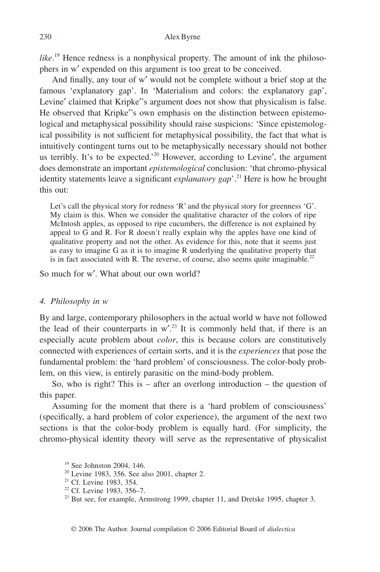like.<sup>19</sup> Hence redness is a nonphysical property. The amount of ink the philosophers in w′ expended on this argument is too great to be conceived.

And finally, any tour of w′ would not be complete without a brief stop at the famous 'explanatory gap'. In 'Materialism and colors: the explanatory gap', Levine′ claimed that Kripke′'s argument does not show that physicalism is false. He observed that Kripke′'s own emphasis on the distinction between epistemological and metaphysical possibility should raise suspicions: 'Since epistemological possibility is not sufficient for metaphysical possibility, the fact that what is intuitively contingent turns out to be metaphysically necessary should not bother us terribly. It's to be expected.<sup>20</sup> However, according to Levine', the argument does demonstrate an important *epistemological* conclusion: 'that chromo-physical identity statements leave a significant *explanatory gap*'.21 Here is how he brought this out:

Let's call the physical story for redness 'R' and the physical story for greenness 'G'. My claim is this. When we consider the qualitative character of the colors of ripe McIntosh apples, as opposed to ripe cucumbers, the difference is not explained by appeal to G and R. For R doesn't really explain why the apples have one kind of qualitative property and not the other. As evidence for this, note that it seems just as easy to imagine G as it is to imagine R underlying the qualitative property that is in fact associated with R. The reverse, of course, also seems quite imaginable.<sup>22</sup>

So much for w′. What about our own world?

#### *4. Philosophy in w*

By and large, contemporary philosophers in the actual world w have not followed the lead of their counterparts in  $w'^{23}$  It is commonly held that, if there is an especially acute problem about *color*, this is because colors are constitutively connected with experiences of certain sorts, and it is the *experiences* that pose the fundamental problem: the 'hard problem' of consciousness. The color-body problem, on this view, is entirely parasitic on the mind-body problem.

So, who is right? This is – after an overlong introduction – the question of this paper.

Assuming for the moment that there is a 'hard problem of consciousness' (specifically, a hard problem of color experience), the argument of the next two sections is that the color-body problem is equally hard. (For simplicity, the chromo-physical identity theory will serve as the representative of physicalist

<sup>&</sup>lt;sup>19</sup> See Johnston 2004, 146.

<sup>20</sup> Levine 1983, 356. See also 2001, chapter 2.

<sup>&</sup>lt;sup>21</sup> Cf. Levine 1983, 354.

<sup>&</sup>lt;sup>22</sup> Cf. Levine 1983, 356–7.

 $23$  But see, for example, Armstrong 1999, chapter 11, and Dretske 1995, chapter 3.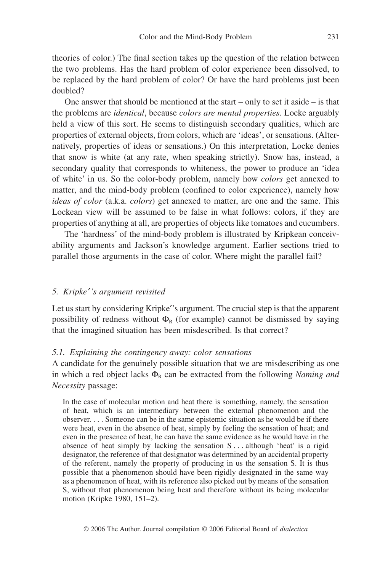theories of color.) The final section takes up the question of the relation between the two problems. Has the hard problem of color experience been dissolved, to be replaced by the hard problem of color? Or have the hard problems just been doubled?

One answer that should be mentioned at the start – only to set it aside – is that the problems are *identical*, because *colors are mental properties*. Locke arguably held a view of this sort. He seems to distinguish secondary qualities, which are properties of external objects, from colors, which are 'ideas', or sensations. (Alternatively, properties of ideas or sensations.) On this interpretation, Locke denies that snow is white (at any rate, when speaking strictly). Snow has, instead, a secondary quality that corresponds to whiteness, the power to produce an 'idea of white' in us. So the color-body problem, namely how *colors* get annexed to matter, and the mind-body problem (confined to color experience), namely how *ideas of color* (a.k.a. *colors*) get annexed to matter, are one and the same. This Lockean view will be assumed to be false in what follows: colors, if they are properties of anything at all, are properties of objects like tomatoes and cucumbers.

The 'hardness' of the mind-body problem is illustrated by Kripkean conceivability arguments and Jackson's knowledge argument. Earlier sections tried to parallel those arguments in the case of color. Where might the parallel fail?

# *5. Kripke*′*'s argument revisited*

Let us start by considering Kripke′'s argument. The crucial step is that the apparent possibility of redness without  $\Phi_R$  (for example) cannot be dismissed by saying that the imagined situation has been misdescribed. Is that correct?

### *5.1. Explaining the contingency away: color sensations*

A candidate for the genuinely possible situation that we are misdescribing as one in which a red object lacks  $\Phi_R$  can be extracted from the following *Naming and Necessity* passage:

In the case of molecular motion and heat there is something, namely, the sensation of heat, which is an intermediary between the external phenomenon and the observer. . . . Someone can be in the same epistemic situation as he would be if there were heat, even in the absence of heat, simply by feeling the sensation of heat; and even in the presence of heat, he can have the same evidence as he would have in the absence of heat simply by lacking the sensation S . . . although 'heat' is a rigid designator, the reference of that designator was determined by an accidental property of the referent, namely the property of producing in us the sensation S. It is thus possible that a phenomenon should have been rigidly designated in the same way as a phenomenon of heat, with its reference also picked out by means of the sensation S, without that phenomenon being heat and therefore without its being molecular motion (Kripke 1980, 151–2).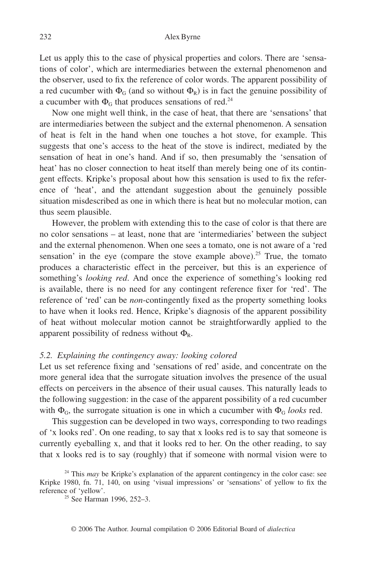Let us apply this to the case of physical properties and colors. There are 'sensations of color', which are intermediaries between the external phenomenon and the observer, used to fix the reference of color words. The apparent possibility of a red cucumber with  $\Phi_G$  (and so without  $\Phi_R$ ) is in fact the genuine possibility of a cucumber with  $\Phi_G$  that produces sensations of red.<sup>24</sup>

Now one might well think, in the case of heat, that there are 'sensations' that are intermediaries between the subject and the external phenomenon. A sensation of heat is felt in the hand when one touches a hot stove, for example. This suggests that one's access to the heat of the stove is indirect, mediated by the sensation of heat in one's hand. And if so, then presumably the 'sensation of heat' has no closer connection to heat itself than merely being one of its contingent effects. Kripke's proposal about how this sensation is used to fix the reference of 'heat', and the attendant suggestion about the genuinely possible situation misdescribed as one in which there is heat but no molecular motion, can thus seem plausible.

However, the problem with extending this to the case of color is that there are no color sensations – at least, none that are 'intermediaries' between the subject and the external phenomenon. When one sees a tomato, one is not aware of a 'red sensation' in the eye (compare the stove example above).<sup>25</sup> True, the tomato produces a characteristic effect in the perceiver, but this is an experience of something's *looking red*. And once the experience of something's looking red is available, there is no need for any contingent reference fixer for 'red'. The reference of 'red' can be *non*-contingently fixed as the property something looks to have when it looks red. Hence, Kripke's diagnosis of the apparent possibility of heat without molecular motion cannot be straightforwardly applied to the apparent possibility of redness without  $\Phi_{\text{R}}$ .

## *5.2. Explaining the contingency away: looking colored*

Let us set reference fixing and 'sensations of red' aside, and concentrate on the more general idea that the surrogate situation involves the presence of the usual effects on perceivers in the absence of their usual causes. This naturally leads to the following suggestion: in the case of the apparent possibility of a red cucumber with  $\Phi_G$ , the surrogate situation is one in which a cucumber with  $\Phi_G$  *looks* red.

This suggestion can be developed in two ways, corresponding to two readings of 'x looks red'. On one reading, to say that x looks red is to say that someone is currently eyeballing x, and that it looks red to her. On the other reading, to say that x looks red is to say (roughly) that if someone with normal vision were to

<sup>&</sup>lt;sup>24</sup> This *may* be Kripke's explanation of the apparent contingency in the color case: see Kripke 1980, fn. 71, 140, on using 'visual impressions' or 'sensations' of yellow to fix the reference of 'yellow'.

<sup>25</sup> See Harman 1996, 252–3.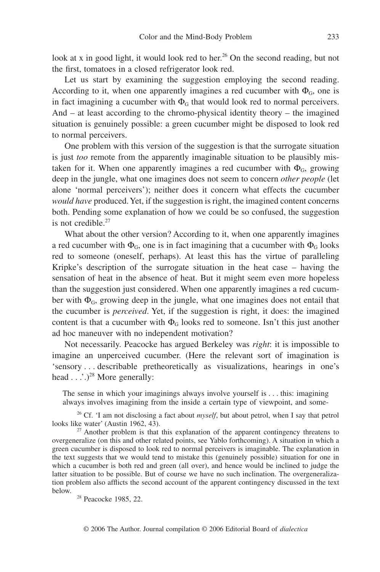look at x in good light, it would look red to her.<sup>26</sup> On the second reading, but not the first, tomatoes in a closed refrigerator look red.

Let us start by examining the suggestion employing the second reading. According to it, when one apparently imagines a red cucumber with  $\Phi_{G}$ , one is in fact imagining a cucumber with  $\Phi_G$  that would look red to normal perceivers. And – at least according to the chromo-physical identity theory – the imagined situation is genuinely possible: a green cucumber might be disposed to look red to normal perceivers.

One problem with this version of the suggestion is that the surrogate situation is just *too* remote from the apparently imaginable situation to be plausibly mistaken for it. When one apparently imagines a red cucumber with  $\Phi_{\text{G}}$ , growing deep in the jungle, what one imagines does not seem to concern *other people* (let alone 'normal perceivers'); neither does it concern what effects the cucumber *would have* produced. Yet, if the suggestion is right, the imagined content concerns both. Pending some explanation of how we could be so confused, the suggestion is not credible. $27$ 

What about the other version? According to it, when one apparently imagines a red cucumber with  $\Phi_{\text{G}}$ , one is in fact imagining that a cucumber with  $\Phi_{\text{G}}$  looks red to someone (oneself, perhaps). At least this has the virtue of paralleling Kripke's description of the surrogate situation in the heat case – having the sensation of heat in the absence of heat. But it might seem even more hopeless than the suggestion just considered. When one apparently imagines a red cucumber with  $\Phi_{G}$ , growing deep in the jungle, what one imagines does not entail that the cucumber is *perceived*. Yet, if the suggestion is right, it does: the imagined content is that a cucumber with  $\Phi_{\rm G}$  looks red to someone. Isn't this just another ad hoc maneuver with no independent motivation?

Not necessarily. Peacocke has argued Berkeley was *right*: it is impossible to imagine an unperceived cucumber. (Here the relevant sort of imagination is 'sensory . . . describable pretheoretically as visualizations, hearings in one's head  $\ldots$ ...<sup>28</sup> More generally:

The sense in which your imaginings always involve yourself is . . . this: imagining always involves imagining from the inside a certain type of viewpoint, and some-

<sup>26</sup> Cf. 'I am not disclosing a fact about *myself*, but about petrol, when I say that petrol looks like water' (Austin 1962, 43).

 $27$  Another problem is that this explanation of the apparent contingency threatens to overgeneralize (on this and other related points, see Yablo forthcoming). A situation in which a green cucumber is disposed to look red to normal perceivers is imaginable. The explanation in the text suggests that we would tend to mistake this (genuinely possible) situation for one in which a cucumber is both red and green (all over), and hence would be inclined to judge the latter situation to be possible. But of course we have no such inclination. The overgeneralization problem also afflicts the second account of the apparent contingency discussed in the text below.

<sup>28</sup> Peacocke 1985, 22.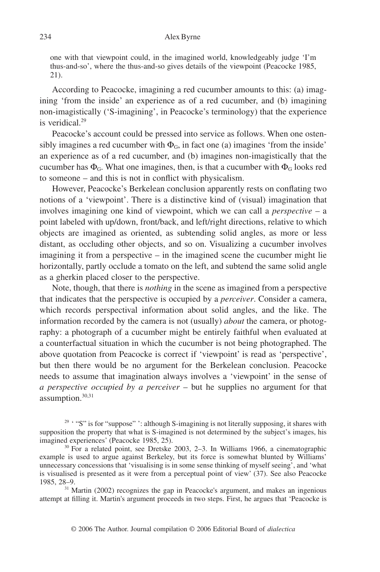#### 234 Alex Byrne

one with that viewpoint could, in the imagined world, knowledgeably judge 'I'm thus-and-so', where the thus-and-so gives details of the viewpoint (Peacocke 1985, 21).

According to Peacocke, imagining a red cucumber amounts to this: (a) imagining 'from the inside' an experience as of a red cucumber, and (b) imagining non-imagistically ('S-imagining', in Peacocke's terminology) that the experience is veridical<sup>29</sup>

Peacocke's account could be pressed into service as follows. When one ostensibly imagines a red cucumber with  $\Phi_{\text{G}}$ , in fact one (a) imagines 'from the inside' an experience as of a red cucumber, and (b) imagines non-imagistically that the cucumber has  $\Phi_{\text{G}}$ . What one imagines, then, is that a cucumber with  $\Phi_{\text{G}}$  looks red to someone – and this is not in conflict with physicalism.

However, Peacocke's Berkelean conclusion apparently rests on conflating two notions of a 'viewpoint'. There is a distinctive kind of (visual) imagination that involves imagining one kind of viewpoint, which we can call a *perspective* – a point labeled with up/down, front/back, and left/right directions, relative to which objects are imagined as oriented, as subtending solid angles, as more or less distant, as occluding other objects, and so on. Visualizing a cucumber involves imagining it from a perspective – in the imagined scene the cucumber might lie horizontally, partly occlude a tomato on the left, and subtend the same solid angle as a gherkin placed closer to the perspective.

Note, though, that there is *nothing* in the scene as imagined from a perspective that indicates that the perspective is occupied by a *perceiver*. Consider a camera, which records perspectival information about solid angles, and the like. The information recorded by the camera is not (usually) *about* the camera, or photography: a photograph of a cucumber might be entirely faithful when evaluated at a counterfactual situation in which the cucumber is not being photographed. The above quotation from Peacocke is correct if 'viewpoint' is read as 'perspective', but then there would be no argument for the Berkelean conclusion. Peacocke needs to assume that imagination always involves a 'viewpoint' in the sense of *a perspective occupied by a perceiver* – but he supplies no argument for that assumption.30,31

<sup>29</sup> ' "S" is for "suppose" ': although S-imagining is not literally supposing, it shares with supposition the property that what is S-imagined is not determined by the subject's images, his imagined experiences' (Peacocke 1985, 25).

<sup>30</sup> For a related point, see Dretske 2003, 2–3. In Williams 1966, a cinematographic example is used to argue against Berkeley, but its force is somewhat blunted by Williams' unnecessary concessions that 'visualising is in some sense thinking of myself seeing', and 'what is visualised is presented as it were from a perceptual point of view' (37). See also Peacocke 1985, 28–9.

 $31$  Martin (2002) recognizes the gap in Peacocke's argument, and makes an ingenious attempt at filling it. Martin's argument proceeds in two steps. First, he argues that 'Peacocke is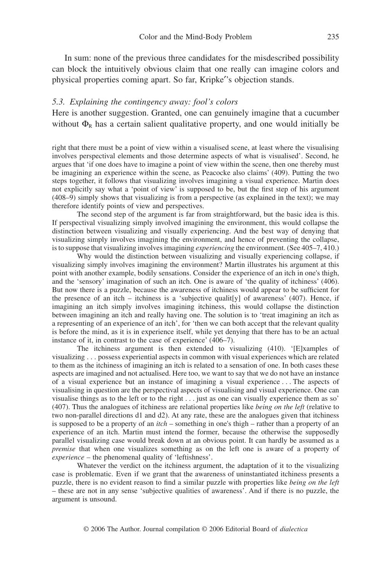In sum: none of the previous three candidates for the misdescribed possibility can block the intuitively obvious claim that one really can imagine colors and physical properties coming apart. So far, Kripke′'s objection stands.

#### *5.3. Explaining the contingency away: fool's colors*

Here is another suggestion. Granted, one can genuinely imagine that a cucumber without  $\Phi_R$  has a certain salient qualitative property, and one would initially be

right that there must be a point of view within a visualised scene, at least where the visualising involves perspectival elements and those determine aspects of what is visualised'. Second, he argues that 'if one does have to imagine a point of view within the scene, then one thereby must be imagining an experience within the scene, as Peacocke also claims' (409). Putting the two steps together, it follows that visualizing involves imagining a visual experience. Martin does not explicitly say what a 'point of view' is supposed to be, but the first step of his argument (408–9) simply shows that visualizing is from a perspective (as explained in the text); we may therefore identify points of view and perspectives.

The second step of the argument is far from straightforward, but the basic idea is this. If perspectival visualizing simply involved imagining the environment, this would collapse the distinction between visualizing and visually experiencing. And the best way of denying that visualizing simply involves imagining the environment, and hence of preventing the collapse, is to suppose that visualizing involves imagining *experiencing* the environment. (See 405–7, 410.)

Why would the distinction between visualizing and visually experiencing collapse, if visualizing simply involves imagining the environment? Martin illustrates his argument at this point with another example, bodily sensations. Consider the experience of an itch in one's thigh, and the 'sensory' imagination of such an itch. One is aware of 'the quality of itchiness' (406). But now there is a puzzle, because the awareness of itchiness would appear to be sufficient for the presence of an itch – itchiness is a 'subjective qualit[y] of awareness' (407). Hence, if imagining an itch simply involves imagining itchiness, this would collapse the distinction between imagining an itch and really having one. The solution is to 'treat imagining an itch as a representing of an experience of an itch', for 'then we can both accept that the relevant quality is before the mind, as it is in experience itself, while yet denying that there has to be an actual instance of it, in contrast to the case of experience' (406–7).

The itchiness argument is then extended to visualizing (410). '[E]xamples of visualizing . . . possess experiential aspects in common with visual experiences which are related to them as the itchiness of imagining an itch is related to a sensation of one. In both cases these aspects are imagined and not actualised. Here too, we want to say that we do not have an instance of a visual experience but an instance of imagining a visual experience . . . The aspects of visualising in question are the perspectival aspects of visualising and visual experience. One can visualise things as to the left or to the right . . . just as one can visually experience them as so' (407). Thus the analogues of itchiness are relational properties like *being on the left* (relative to two non-parallel directions d1 and d2). At any rate, these are the analogues given that itchiness is supposed to be a property of an *itch* – something in one's thigh – rather than a property of an experience of an itch. Martin must intend the former, because the otherwise the supposedly parallel visualizing case would break down at an obvious point. It can hardly be assumed as a *premise* that when one visualizes something as on the left one is aware of a property of *experience* – the phenomenal quality of 'leftishness'.

Whatever the verdict on the itchiness argument, the adaptation of it to the visualizing case is problematic. Even if we grant that the awareness of uninstantiated itchiness presents a puzzle, there is no evident reason to find a similar puzzle with properties like *being on the left* – these are not in any sense 'subjective qualities of awareness'. And if there is no puzzle, the argument is unsound.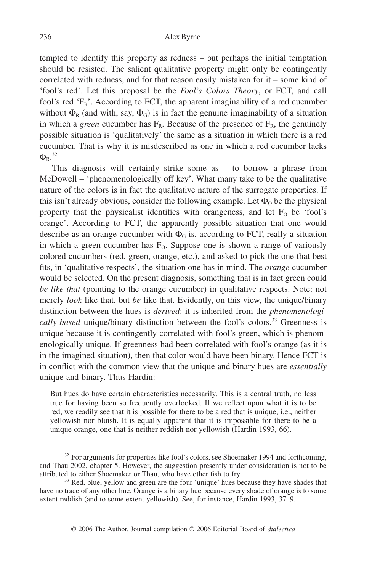tempted to identify this property as redness – but perhaps the initial temptation should be resisted. The salient qualitative property might only be contingently correlated with redness, and for that reason easily mistaken for it – some kind of 'fool's red'. Let this proposal be the *Fool's Colors Theory*, or FCT, and call fool's red  $F_R$ '. According to FCT, the apparent imaginability of a red cucumber without  $\Phi_R$  (and with, say,  $\Phi_G$ ) is in fact the genuine imaginability of a situation in which a *green* cucumber has  $F_R$ . Because of the presence of  $F_R$ , the genuinely possible situation is 'qualitatively' the same as a situation in which there is a red cucumber. That is why it is misdescribed as one in which a red cucumber lacks  $\Phi_{\rm R}$ .<sup>32</sup>

This diagnosis will certainly strike some as – to borrow a phrase from McDowell – 'phenomenologically off key'. What many take to be the qualitative nature of the colors is in fact the qualitative nature of the surrogate properties. If this isn't already obvious, consider the following example. Let  $\Phi_0$  be the physical property that the physicalist identifies with orangeness, and let  $F_0$  be 'fool's orange'. According to FCT, the apparently possible situation that one would describe as an orange cucumber with  $\Phi_G$  is, according to FCT, really a situation in which a green cucumber has  $F<sub>0</sub>$ . Suppose one is shown a range of variously colored cucumbers (red, green, orange, etc.), and asked to pick the one that best fits, in 'qualitative respects', the situation one has in mind. The *orange* cucumber would be selected. On the present diagnosis, something that is in fact green could *be like that* (pointing to the orange cucumber) in qualitative respects. Note: not merely *look* like that, but *be* like that. Evidently, on this view, the unique/binary distinction between the hues is *derived*: it is inherited from the *phenomenologically-based* unique/binary distinction between the fool's colors.<sup>33</sup> Greenness is unique because it is contingently correlated with fool's green, which is phenomenologically unique. If greenness had been correlated with fool's orange (as it is in the imagined situation), then that color would have been binary. Hence FCT is in conflict with the common view that the unique and binary hues are *essentially* unique and binary. Thus Hardin:

But hues do have certain characteristics necessarily. This is a central truth, no less true for having been so frequently overlooked. If we reflect upon what it is to be red, we readily see that it is possible for there to be a red that is unique, i.e., neither yellowish nor bluish. It is equally apparent that it is impossible for there to be a unique orange, one that is neither reddish nor yellowish (Hardin 1993, 66).

 $32$  For arguments for properties like fool's colors, see Shoemaker 1994 and forthcoming, and Thau 2002, chapter 5. However, the suggestion presently under consideration is not to be attributed to either Shoemaker or Thau, who have other fish to fry.

<sup>&</sup>lt;sup>33</sup> Red, blue, yellow and green are the four 'unique' hues because they have shades that have no trace of any other hue. Orange is a binary hue because every shade of orange is to some extent reddish (and to some extent yellowish). See, for instance, Hardin 1993, 37–9.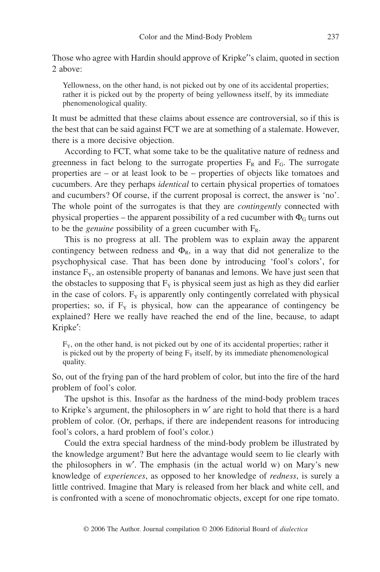Those who agree with Hardin should approve of Kripke′'s claim, quoted in section 2 above:

Yellowness, on the other hand, is not picked out by one of its accidental properties; rather it is picked out by the property of being yellowness itself, by its immediate phenomenological quality.

It must be admitted that these claims about essence are controversial, so if this is the best that can be said against FCT we are at something of a stalemate. However, there is a more decisive objection.

According to FCT, what some take to be the qualitative nature of redness and greenness in fact belong to the surrogate properties  $F_R$  and  $F_G$ . The surrogate properties are – or at least look to be – properties of objects like tomatoes and cucumbers. Are they perhaps *identical* to certain physical properties of tomatoes and cucumbers? Of course, if the current proposal is correct, the answer is 'no'. The whole point of the surrogates is that they are *contingently* connected with physical properties – the apparent possibility of a red cucumber with  $\Phi_G$  turns out to be the *genuine* possibility of a green cucumber with  $F_R$ .

This is no progress at all. The problem was to explain away the apparent contingency between redness and  $\Phi_{R}$ , in a way that did not generalize to the psychophysical case. That has been done by introducing 'fool's colors', for instance  $F<sub>Y</sub>$ , an ostensible property of bananas and lemons. We have just seen that the obstacles to supposing that  $F<sub>Y</sub>$  is physical seem just as high as they did earlier in the case of colors.  $F<sub>y</sub>$  is apparently only contingently correlated with physical properties; so, if  $F<sub>Y</sub>$  is physical, how can the appearance of contingency be explained? Here we really have reached the end of the line, because, to adapt Kripke′:

 $F<sub>y</sub>$ , on the other hand, is not picked out by one of its accidental properties; rather it is picked out by the property of being  $F<sub>Y</sub>$  itself, by its immediate phenomenological quality.

So, out of the frying pan of the hard problem of color, but into the fire of the hard problem of fool's color.

The upshot is this. Insofar as the hardness of the mind-body problem traces to Kripke's argument, the philosophers in w′ are right to hold that there is a hard problem of color. (Or, perhaps, if there are independent reasons for introducing fool's colors, a hard problem of fool's color.)

Could the extra special hardness of the mind-body problem be illustrated by the knowledge argument? But here the advantage would seem to lie clearly with the philosophers in w′. The emphasis (in the actual world w) on Mary's new knowledge of *experiences*, as opposed to her knowledge of *redness*, is surely a little contrived. Imagine that Mary is released from her black and white cell, and is confronted with a scene of monochromatic objects, except for one ripe tomato.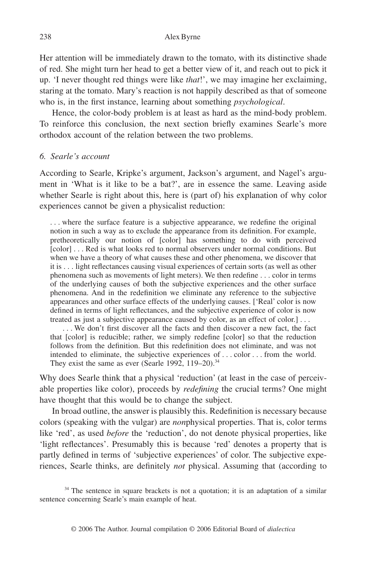Her attention will be immediately drawn to the tomato, with its distinctive shade of red. She might turn her head to get a better view of it, and reach out to pick it up. 'I never thought red things were like *that*!', we may imagine her exclaiming, staring at the tomato. Mary's reaction is not happily described as that of someone who is, in the first instance, learning about something *psychological*.

Hence, the color-body problem is at least as hard as the mind-body problem. To reinforce this conclusion, the next section briefly examines Searle's more orthodox account of the relation between the two problems.

#### *6. Searle's account*

According to Searle, Kripke's argument, Jackson's argument, and Nagel's argument in 'What is it like to be a bat?', are in essence the same. Leaving aside whether Searle is right about this, here is (part of) his explanation of why color experiences cannot be given a physicalist reduction:

. . . where the surface feature is a subjective appearance, we redefine the original notion in such a way as to exclude the appearance from its definition. For example, pretheoretically our notion of [color] has something to do with perceived [color] . . . Red is what looks red to normal observers under normal conditions. But when we have a theory of what causes these and other phenomena, we discover that it is . . . light reflectances causing visual experiences of certain sorts (as well as other phenomena such as movements of light meters). We then redefine . . . color in terms of the underlying causes of both the subjective experiences and the other surface phenomena. And in the redefinition we eliminate any reference to the subjective appearances and other surface effects of the underlying causes. ['Real' color is now defined in terms of light reflectances, and the subjective experience of color is now treated as just a subjective appearance caused by color, as an effect of color.] . . .

. . . We don't first discover all the facts and then discover a new fact, the fact that [color] is reducible; rather, we simply redefine [color] so that the reduction follows from the definition. But this redefinition does not eliminate, and was not intended to eliminate, the subjective experiences of . . . color . . . from the world. They exist the same as ever (Searle 1992, 119–20).<sup>34</sup>

Why does Searle think that a physical 'reduction' (at least in the case of perceivable properties like color), proceeds by *redefining* the crucial terms? One might have thought that this would be to change the subject.

In broad outline, the answer is plausibly this. Redefinition is necessary because colors (speaking with the vulgar) are *non*physical properties. That is, color terms like 'red', as used *before* the 'reduction', do not denote physical properties, like 'light reflectances'. Presumably this is because 'red' denotes a property that is partly defined in terms of 'subjective experiences' of color. The subjective experiences, Searle thinks, are definitely *not* physical. Assuming that (according to

<sup>34</sup> The sentence in square brackets is not a quotation; it is an adaptation of a similar sentence concerning Searle's main example of heat.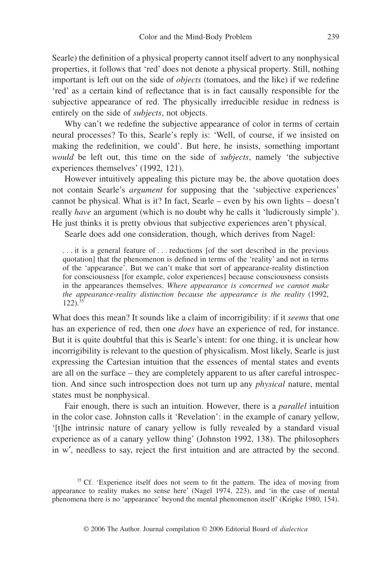Searle) the definition of a physical property cannot itself advert to any nonphysical properties, it follows that 'red' does not denote a physical property. Still, nothing important is left out on the side of *objects* (tomatoes, and the like) if we redefine 'red' as a certain kind of reflectance that is in fact causally responsible for the subjective appearance of red. The physically irreducible residue in redness is entirely on the side of *subjects*, not objects.

Why can't we redefine the subjective appearance of color in terms of certain neural processes? To this, Searle's reply is: 'Well, of course, if we insisted on making the redefinition, we could'. But here, he insists, something important *would* be left out, this time on the side of *subjects*, namely 'the subjective experiences themselves' (1992, 121).

However intuitively appealing this picture may be, the above quotation does not contain Searle's *argument* for supposing that the 'subjective experiences' cannot be physical. What is it? In fact, Searle – even by his own lights – doesn't really *have* an argument (which is no doubt why he calls it 'ludicrously simple'). He just thinks it is pretty obvious that subjective experiences aren't physical.

Searle does add one consideration, though, which derives from Nagel:

. . . it is a general feature of . . . reductions [of the sort described in the previous quotation] that the phenomenon is defined in terms of the 'reality' and not in terms of the 'appearance'. But we can't make that sort of appearance-reality distinction for consciousness [for example, color experiences] because consciousness consists in the appearances themselves. *Where appearance is concerned we cannot make the appearance-reality distinction because the appearance is the reality* (1992,  $122$ ).

What does this mean? It sounds like a claim of incorrigibility: if it *seems* that one has an experience of red, then one *does* have an experience of red, for instance. But it is quite doubtful that this is Searle's intent: for one thing, it is unclear how incorrigibility is relevant to the question of physicalism. Most likely, Searle is just expressing the Cartesian intuition that the essences of mental states and events are all on the surface – they are completely apparent to us after careful introspection. And since such introspection does not turn up any *physical* nature, mental states must be nonphysical.

Fair enough, there is such an intuition. However, there is a *parallel* intuition in the color case. Johnston calls it 'Revelation': in the example of canary yellow, '[t]he intrinsic nature of canary yellow is fully revealed by a standard visual experience as of a canary yellow thing' (Johnston 1992, 138). The philosophers in w′, needless to say, reject the first intuition and are attracted by the second.

<sup>&</sup>lt;sup>35</sup> Cf. 'Experience itself does not seem to fit the pattern. The idea of moving from appearance to reality makes no sense here' (Nagel 1974, 223), and 'in the case of mental phenomena there is no 'appearance' beyond the mental phenomenon itself' (Kripke 1980, 154).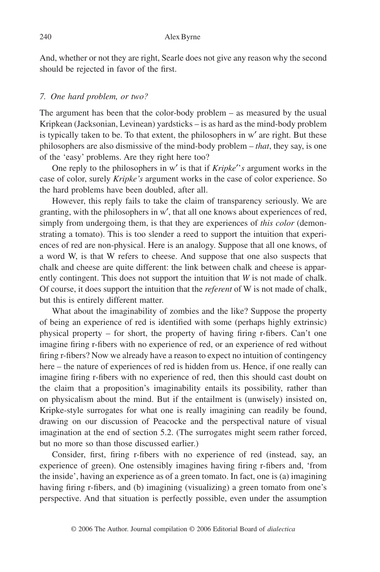And, whether or not they are right, Searle does not give any reason why the second should be rejected in favor of the first.

#### *7. One hard problem, or two?*

The argument has been that the color-body problem – as measured by the usual Kripkean (Jacksonian, Levinean) yardsticks – is as hard as the mind-body problem is typically taken to be. To that extent, the philosophers in w′ are right. But these philosophers are also dismissive of the mind-body problem – *that*, they say, is one of the 'easy' problems. Are they right here too?

One reply to the philosophers in w′ is that if *Kripke*′'*s* argument works in the case of color, surely *Kripke's* argument works in the case of color experience. So the hard problems have been doubled, after all.

However, this reply fails to take the claim of transparency seriously. We are granting, with the philosophers in w′, that all one knows about experiences of red, simply from undergoing them, is that they are experiences of *this color* (demonstrating a tomato). This is too slender a reed to support the intuition that experiences of red are non-physical. Here is an analogy. Suppose that all one knows, of a word W, is that W refers to cheese. And suppose that one also suspects that chalk and cheese are quite different: the link between chalk and cheese is apparently contingent. This does not support the intuition that *W* is not made of chalk. Of course, it does support the intuition that the *referent* of W is not made of chalk, but this is entirely different matter.

What about the imaginability of zombies and the like? Suppose the property of being an experience of red is identified with some (perhaps highly extrinsic) physical property – for short, the property of having firing r-fibers. Can't one imagine firing r-fibers with no experience of red, or an experience of red without firing r-fibers? Now we already have a reason to expect no intuition of contingency here – the nature of experiences of red is hidden from us. Hence, if one really can imagine firing r-fibers with no experience of red, then this should cast doubt on the claim that a proposition's imaginability entails its possibility, rather than on physicalism about the mind. But if the entailment is (unwisely) insisted on, Kripke-style surrogates for what one is really imagining can readily be found, drawing on our discussion of Peacocke and the perspectival nature of visual imagination at the end of section 5.2. (The surrogates might seem rather forced, but no more so than those discussed earlier.)

Consider, first, firing r-fibers with no experience of red (instead, say, an experience of green). One ostensibly imagines having firing r-fibers and, 'from the inside', having an experience as of a green tomato. In fact, one is (a) imagining having firing r-fibers, and (b) imagining (visualizing) a green tomato from one's perspective. And that situation is perfectly possible, even under the assumption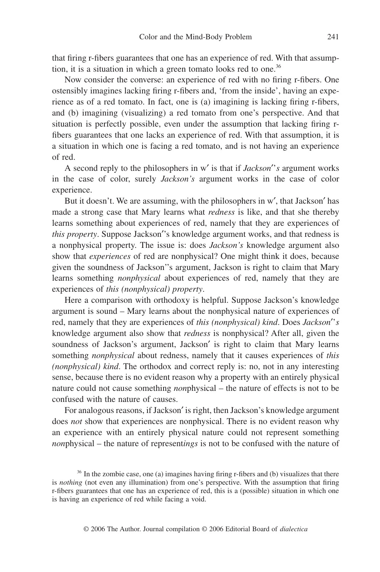that firing r-fibers guarantees that one has an experience of red. With that assumption, it is a situation in which a green tomato looks red to one.<sup>36</sup>

Now consider the converse: an experience of red with no firing r-fibers. One ostensibly imagines lacking firing r-fibers and, 'from the inside', having an experience as of a red tomato. In fact, one is (a) imagining is lacking firing r-fibers, and (b) imagining (visualizing) a red tomato from one's perspective. And that situation is perfectly possible, even under the assumption that lacking firing rfibers guarantees that one lacks an experience of red. With that assumption, it is a situation in which one is facing a red tomato, and is not having an experience of red.

A second reply to the philosophers in w′ is that if *Jackson*′'*s* argument works in the case of color, surely *Jackson's* argument works in the case of color experience.

But it doesn't. We are assuming, with the philosophers in w′, that Jackson′ has made a strong case that Mary learns what *redness* is like, and that she thereby learns something about experiences of red, namely that they are experiences of *this property*. Suppose Jackson′'s knowledge argument works, and that redness is a nonphysical property. The issue is: does *Jackson's* knowledge argument also show that *experiences* of red are nonphysical? One might think it does, because given the soundness of Jackson''s argument, Jackson is right to claim that Mary learns something *nonphysical* about experiences of red, namely that they are experiences of *this (nonphysical) property*.

Here a comparison with orthodoxy is helpful. Suppose Jackson's knowledge argument is sound – Mary learns about the nonphysical nature of experiences of red, namely that they are experiences of *this (nonphysical) kind*. Does *Jackson*′'*s* knowledge argument also show that *redness* is nonphysical? After all, given the soundness of Jackson's argument, Jackson′ is right to claim that Mary learns something *nonphysical* about redness, namely that it causes experiences of *this (nonphysical) kind*. The orthodox and correct reply is: no, not in any interesting sense, because there is no evident reason why a property with an entirely physical nature could not cause something *non*physical – the nature of effects is not to be confused with the nature of causes.

For analogous reasons, if Jackson′ is right, then Jackson's knowledge argument does *not* show that experiences are nonphysical. There is no evident reason why an experience with an entirely physical nature could not represent something *non*physical – the nature of represent*ings* is not to be confused with the nature of

<sup>&</sup>lt;sup>36</sup> In the zombie case, one (a) imagines having firing r-fibers and (b) visualizes that there is *nothing* (not even any illumination) from one's perspective. With the assumption that firing r-fibers guarantees that one has an experience of red, this is a (possible) situation in which one is having an experience of red while facing a void.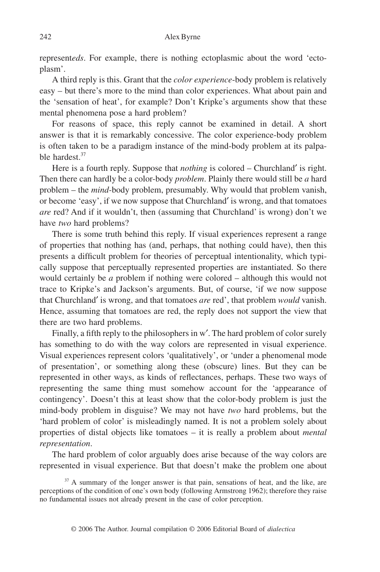represent*eds*. For example, there is nothing ectoplasmic about the word 'ectoplasm'.

A third reply is this. Grant that the *color experience*-body problem is relatively easy – but there's more to the mind than color experiences. What about pain and the 'sensation of heat', for example? Don't Kripke's arguments show that these mental phenomena pose a hard problem?

For reasons of space, this reply cannot be examined in detail. A short answer is that it is remarkably concessive. The color experience-body problem is often taken to be a paradigm instance of the mind-body problem at its palpable hardest<sup>37</sup>

Here is a fourth reply. Suppose that *nothing* is colored – Churchland' is right. Then there can hardly be a color-body *problem*. Plainly there would still be *a* hard problem – the *mind-*body problem, presumably. Why would that problem vanish, or become 'easy', if we now suppose that Churchland′ is wrong, and that tomatoes *are* red? And if it wouldn't, then (assuming that Churchland' is wrong) don't we have *two* hard problems?

There is some truth behind this reply. If visual experiences represent a range of properties that nothing has (and, perhaps, that nothing could have), then this presents a difficult problem for theories of perceptual intentionality, which typically suppose that perceptually represented properties are instantiated. So there would certainly be *a* problem if nothing were colored – although this would not trace to Kripke's and Jackson's arguments. But, of course, 'if we now suppose that Churchland′ is wrong, and that tomatoes *are* red', that problem *would* vanish. Hence, assuming that tomatoes are red, the reply does not support the view that there are two hard problems.

Finally, a fifth reply to the philosophers in w′. The hard problem of color surely has something to do with the way colors are represented in visual experience. Visual experiences represent colors 'qualitatively', or 'under a phenomenal mode of presentation', or something along these (obscure) lines. But they can be represented in other ways, as kinds of reflectances, perhaps. These two ways of representing the same thing must somehow account for the 'appearance of contingency'. Doesn't this at least show that the color-body problem is just the mind-body problem in disguise? We may not have *two* hard problems, but the 'hard problem of color' is misleadingly named. It is not a problem solely about properties of distal objects like tomatoes – it is really a problem about *mental representation*.

The hard problem of color arguably does arise because of the way colors are represented in visual experience. But that doesn't make the problem one about

<sup>&</sup>lt;sup>37</sup> A summary of the longer answer is that pain, sensations of heat, and the like, are perceptions of the condition of one's own body (following Armstrong 1962); therefore they raise no fundamental issues not already present in the case of color perception.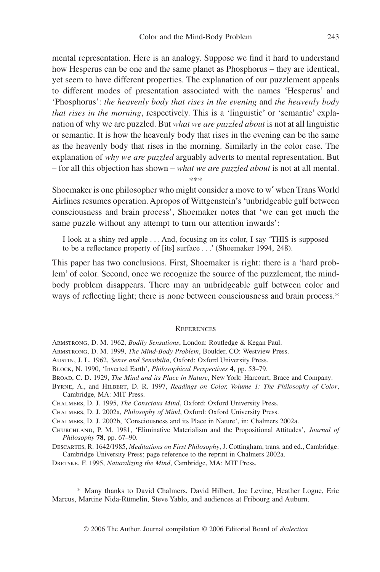mental representation. Here is an analogy. Suppose we find it hard to understand how Hesperus can be one and the same planet as Phosphorus – they are identical, yet seem to have different properties. The explanation of our puzzlement appeals to different modes of presentation associated with the names 'Hesperus' and 'Phosphorus': *the heavenly body that rises in the evening* and *the heavenly body that rises in the morning*, respectively. This is a 'linguistic' or 'semantic' explanation of why we are puzzled. But *what we are puzzled about* is not at all linguistic or semantic. It is how the heavenly body that rises in the evening can be the same as the heavenly body that rises in the morning. Similarly in the color case. The explanation of *why we are puzzled* arguably adverts to mental representation. But – for all this objection has shown – *what we are puzzled about* is not at all mental. \*\*\*

Shoemaker is one philosopher who might consider a move to w′ when Trans World Airlines resumes operation. Apropos of Wittgenstein's 'unbridgeable gulf between consciousness and brain process', Shoemaker notes that 'we can get much the same puzzle without any attempt to turn our attention inwards':

I look at a shiny red apple . . . And, focusing on its color, I say 'THIS is supposed to be a reflectance property of [its] surface . . .' (Shoemaker 1994, 248).

This paper has two conclusions. First, Shoemaker is right: there is a 'hard problem' of color. Second, once we recognize the source of the puzzlement, the mindbody problem disappears. There may an unbridgeable gulf between color and ways of reflecting light; there is none between consciousness and brain process.\*

#### **REFERENCES**

- Armstrong, D. M. 1962, *Bodily Sensations*, London: Routledge & Kegan Paul.
- Armstrong, D. M. 1999, *The Mind-Body Problem*, Boulder, CO: Westview Press.
- Austin, J. L. 1962, *Sense and Sensibilia*, Oxford: Oxford University Press.
- Block, N. 1990, 'Inverted Earth', *Philosophical Perspectives* **4**, pp. 53–79.
- Broad, C. D. 1929, *The Mind and its Place in Nature*, New York: Harcourt, Brace and Company.
- Byrne, A., and Hilbert, D. R. 1997, *Readings on Color, Volume 1: The Philosophy of Color*, Cambridge, MA: MIT Press.
- Chalmers, D. J. 1995, *The Conscious Mind*, Oxford: Oxford University Press.
- Chalmers, D. J. 2002a, *Philosophy of Mind*, Oxford: Oxford University Press.
- Chalmers, D. J. 2002b, 'Consciousness and its Place in Nature', in: Chalmers 2002a.
- Churchland, P. M. 1981, 'Eliminative Materialism and the Propositional Attitudes', *Journal of Philosophy* **78**, pp. 67–90.
- Descartes, R. 1642/1985, *Meditations on First Philosophy*, J. Cottingham, trans. and ed., Cambridge: Cambridge University Press; page reference to the reprint in Chalmers 2002a.

Dretske, F. 1995, *Naturalizing the Mind*, Cambridge, MA: MIT Press.

\* Many thanks to David Chalmers, David Hilbert, Joe Levine, Heather Logue, Eric Marcus, Martine Nida-Rümelin, Steve Yablo, and audiences at Fribourg and Auburn.